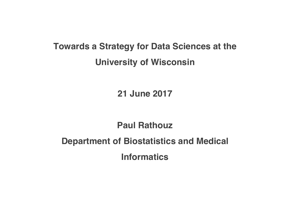# **Towards a Strategy for Data Sciences at the University of Wisconsin**

**21 June 2017**

#### **Paul Rathouz**

#### **Department of Biostatistics and Medical**

**Informatics**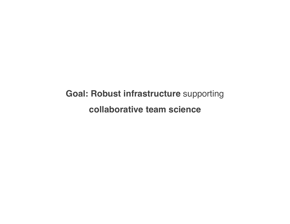**Goal: Robust infrastructure** supporting **collaborative team science**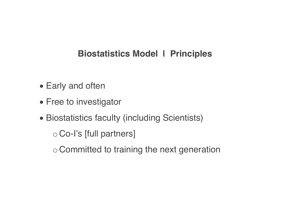# **Biostatistics Model | Principles**

- Early and often
- Free to investigator
- Biostatistics faculty (including Scientists)
	- o Co-I's [full partners]
	- o Committed to training the next generation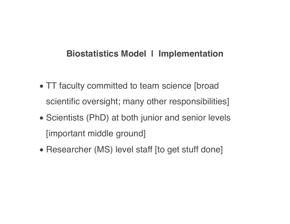# **Biostatistics Model | Implementation**

- TT faculty committed to team science [broad scientific oversight; many other responsibilities]
- Scientists (PhD) at both junior and senior levels [important middle ground]
- Researcher (MS) level staff [to get stuff done]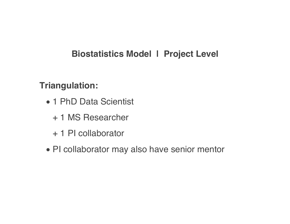# **Biostatistics Model | Project Level**

### **Triangulation:**

- 1 PhD Data Scientist
	- + 1 MS Researcher
	- + 1 PI collaborator
- PI collaborator may also have senior mentor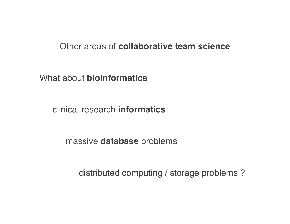#### Other areas of **collaborative team science**

What about **bioinformatics**

clinical research **informatics**

massive **database** problems

distributed computing / storage problems ?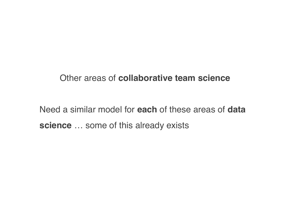#### Other areas of **collaborative team science**

Need a similar model for **each** of these areas of **data science** … some of this already exists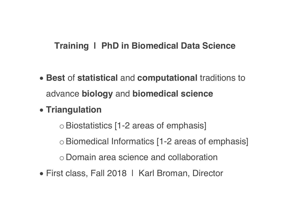## **Training | PhD in Biomedical Data Science**

- **Best** of **statistical** and **computational** traditions to advance **biology** and **biomedical science**
- **Triangulation**
	- oBiostatistics [1-2 areas of emphasis] oBiomedical Informatics [1-2 areas of emphasis] o Domain area science and collaboration
- First class, Fall 2018 | Karl Broman, Director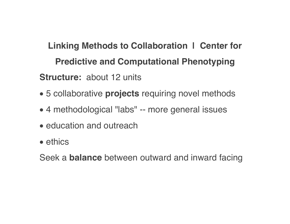**Linking Methods to Collaboration | Center for Predictive and Computational Phenotyping Structure:** about 12 units

- 5 collaborative **projects** requiring novel methods
- 4 methodological "labs" -- more general issues
- education and outreach
- ethics

Seek a **balance** between outward and inward facing